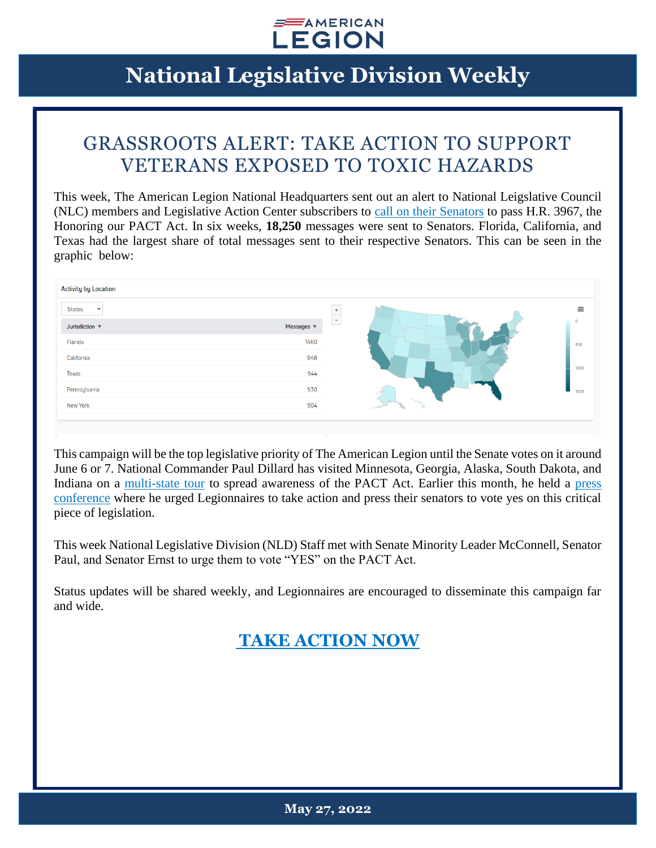

# **National Legislative Division Weekly**

### GRASSROOTS ALERT: TAKE ACTION TO SUPPORT VETERANS EXPOSED TO TOXIC HAZARDS

This week, The American Legion National Headquarters sent out an alert to National Leigslative Council (NLC) members and Legislative Action Center subscribers to [call on their Senators](https://www.votervoice.net/AmericanLegion/Campaigns/87481/Respond) to pass H.R. 3967, the Honoring our PACT Act. In six weeks, **18,250** messages were sent to Senators. Florida, California, and Texas had the largest share of total messages sent to their respective Senators. This can be seen in the graphic below:

| <b>Activity by Location</b>          |            |                |  |
|--------------------------------------|------------|----------------|--|
| <b>States</b><br>$\checkmark$        |            | $\equiv$       |  |
| Jurisdiction $\overline{\mathbf{v}}$ | Messages ▼ | $\blacksquare$ |  |
| Florida                              | 1460       | 500            |  |
| California                           | 948        |                |  |
| Texas                                | 944        | 1000           |  |
| Pennsylvania                         | 930        | 1500           |  |
| New York                             | 904        |                |  |
|                                      |            |                |  |

This campaign will be the top legislative priority of The American Legion until the Senate votes on it around June 6 or 7. National Commander Paul Dillard has visited Minnesota, Georgia, Alaska, South Dakota, and Indiana on a [multi-state tour](https://www.legion.org/commander/255550/dillard-pushes-senate-pact-act-during-national-tour) to spread awareness of the PACT Act. Earlier this month, he held a [press](https://www.legion.org/legiontv/PL048E5F43D9D11C0E/nfY4QyM1I50)  [conference](https://www.legion.org/legiontv/PL048E5F43D9D11C0E/nfY4QyM1I50) where he urged Legionnaires to take action and press their senators to vote yes on this critical piece of legislation.

This week National Legislative Division (NLD) Staff met with Senate Minority Leader McConnell, Senator Paul, and Senator Ernst to urge them to vote "YES" on the PACT Act.

Status updates will be shared weekly, and Legionnaires are encouraged to disseminate this campaign far and wide.

#### **[TAKE ACTION NOW](https://www.votervoice.net/AmericanLegion/Campaigns/87481/Respond)**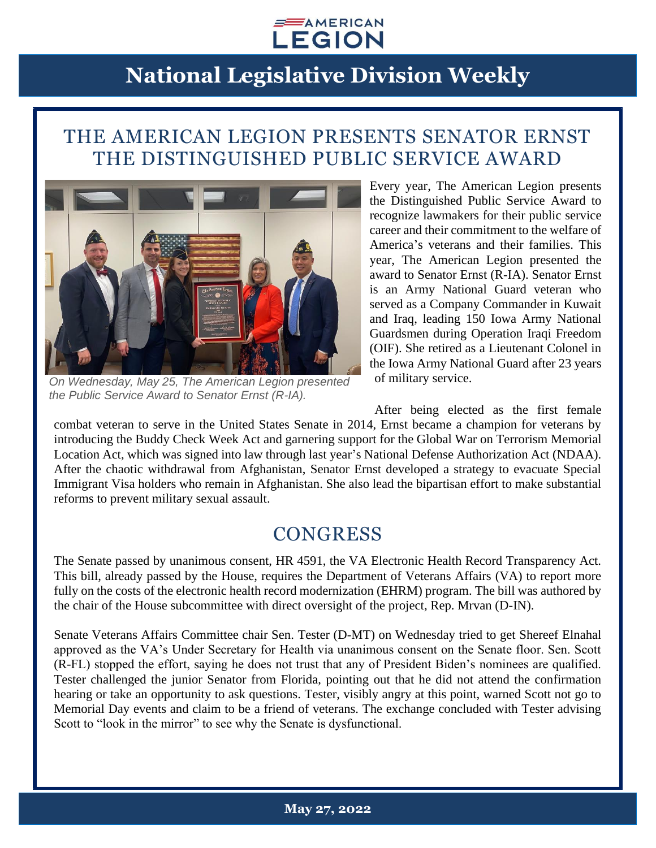#### $\equiv$  AMERICAN **LEGION**

## **National Legislative Division Weekly**

#### THE AMERICAN LEGION PRESENTS SENATOR ERNST THE DISTINGUISHED PUBLIC SERVICE AWARD



*On Wednesday, May 25, The American Legion presented the Public Service Award to Senator Ernst (R-IA).*

Every year, The American Legion presents the Distinguished Public Service Award to recognize lawmakers for their public service career and their commitment to the welfare of America's veterans and their families. This year, The American Legion presented the award to Senator Ernst (R-IA). Senator Ernst is an Army National Guard veteran who served as a Company Commander in Kuwait and Iraq, leading 150 Iowa Army National Guardsmen during Operation Iraqi Freedom (OIF). She retired as a Lieutenant Colonel in the Iowa Army National Guard after 23 years of military service.

After being elected as the first female combat veteran to serve in the United States Senate in 2014, Ernst became a champion for veterans by introducing the Buddy Check Week Act and garnering support for the Global War on Terrorism Memorial Location Act, which was signed into law through last year's National Defense Authorization Act (NDAA). After the chaotic withdrawal from Afghanistan, Senator Ernst developed a strategy to evacuate Special Immigrant Visa holders who remain in Afghanistan. She also lead the bipartisan effort to make substantial reforms to prevent military sexual assault.

#### **CONGRESS**

The Senate passed by unanimous consent, HR 4591, the VA Electronic Health Record Transparency Act. This bill, already passed by the House, requires the Department of Veterans Affairs (VA) to report more fully on the costs of the electronic health record modernization (EHRM) program. The bill was authored by the chair of the House subcommittee with direct oversight of the project, Rep. Mrvan (D-IN).

Senate Veterans Affairs Committee chair Sen. Tester (D-MT) on Wednesday tried to get Shereef Elnahal approved as the VA's Under Secretary for Health via unanimous consent on the Senate floor. Sen. Scott (R-FL) stopped the effort, saying he does not trust that any of President Biden's nominees are qualified. Tester challenged the junior Senator from Florida, pointing out that he did not attend the confirmation hearing or take an opportunity to ask questions. Tester, visibly angry at this point, warned Scott not go to Memorial Day events and claim to be a friend of veterans. The exchange concluded with Tester advising Scott to "look in the mirror" to see why the Senate is dysfunctional.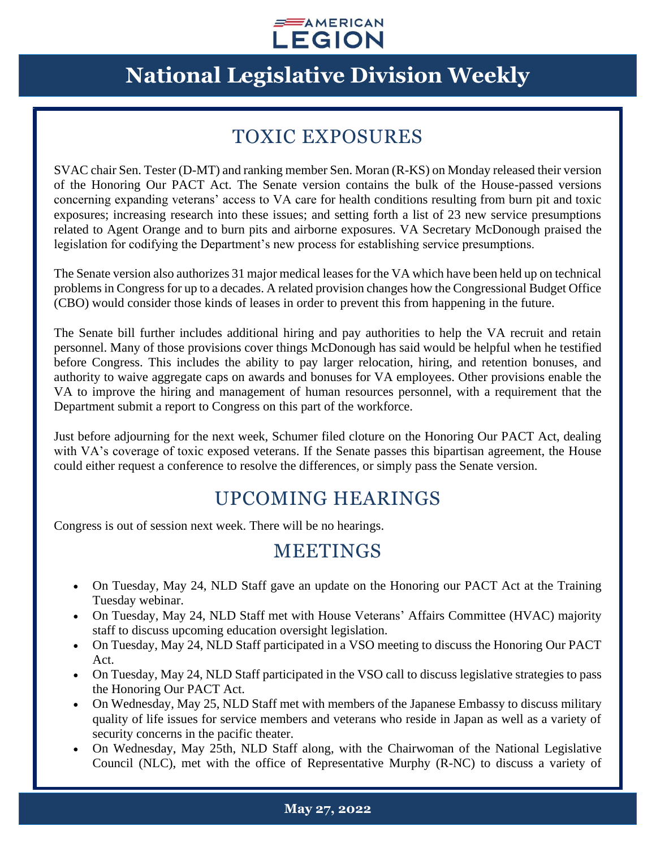

# **National Legislative Division Weekly**

### TOXIC EXPOSURES

SVAC chair Sen. Tester (D-MT) and ranking member Sen. Moran (R-KS) on Monday released their version of the Honoring Our PACT Act. The Senate version contains the bulk of the House-passed versions concerning expanding veterans' access to VA care for health conditions resulting from burn pit and toxic exposures; increasing research into these issues; and setting forth a list of 23 new service presumptions related to Agent Orange and to burn pits and airborne exposures. VA Secretary McDonough praised the legislation for codifying the Department's new process for establishing service presumptions.

The Senate version also authorizes 31 major medical leases for the VA which have been held up on technical problems in Congress for up to a decades. A related provision changes how the Congressional Budget Office (CBO) would consider those kinds of leases in order to prevent this from happening in the future.

The Senate bill further includes additional hiring and pay authorities to help the VA recruit and retain personnel. Many of those provisions cover things McDonough has said would be helpful when he testified before Congress. This includes the ability to pay larger relocation, hiring, and retention bonuses, and authority to waive aggregate caps on awards and bonuses for VA employees. Other provisions enable the VA to improve the hiring and management of human resources personnel, with a requirement that the Department submit a report to Congress on this part of the workforce.

Just before adjourning for the next week, Schumer filed cloture on the Honoring Our PACT Act, dealing with VA's coverage of toxic exposed veterans. If the Senate passes this bipartisan agreement, the House could either request a conference to resolve the differences, or simply pass the Senate version.

### UPCOMING HEARINGS

Congress is out of session next week. There will be no hearings.

#### **MEETINGS**

- On Tuesday, May 24, NLD Staff gave an update on the Honoring our PACT Act at the Training Tuesday webinar.
- On Tuesday, May 24, NLD Staff met with House Veterans' Affairs Committee (HVAC) majority staff to discuss upcoming education oversight legislation.
- On Tuesday, May 24, NLD Staff participated in a VSO meeting to discuss the Honoring Our PACT Act.
- On Tuesday, May 24, NLD Staff participated in the VSO call to discuss legislative strategies to pass the Honoring Our PACT Act.
- On Wednesday, May 25, NLD Staff met with members of the Japanese Embassy to discuss military quality of life issues for service members and veterans who reside in Japan as well as a variety of security concerns in the pacific theater.
- On Wednesday, May 25th, NLD Staff along, with the Chairwoman of the National Legislative Council (NLC), met with the office of Representative Murphy (R-NC) to discuss a variety of